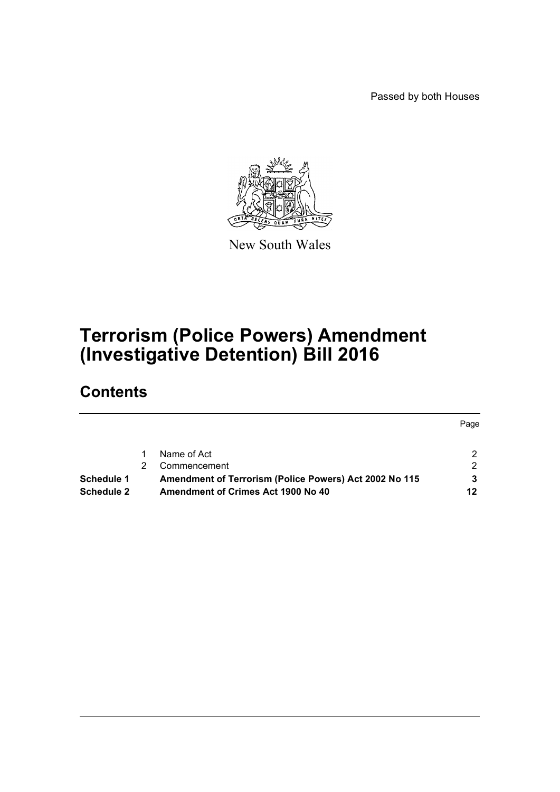Passed by both Houses



New South Wales

# **Terrorism (Police Powers) Amendment (Investigative Detention) Bill 2016**

# **Contents**

|                   |                                                        | Page |
|-------------------|--------------------------------------------------------|------|
|                   | Name of Act                                            |      |
|                   | Commencement                                           | ົ    |
| Schedule 1        | Amendment of Terrorism (Police Powers) Act 2002 No 115 |      |
| <b>Schedule 2</b> | Amendment of Crimes Act 1900 No 40                     | 12   |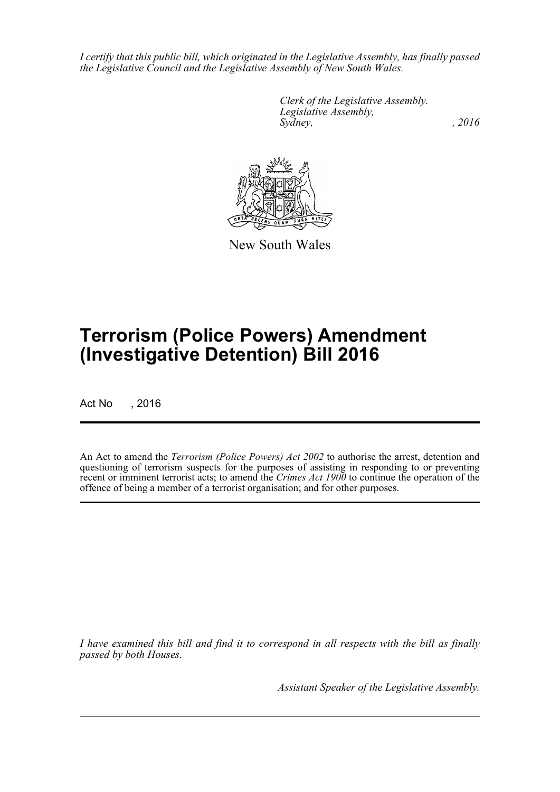*I certify that this public bill, which originated in the Legislative Assembly, has finally passed the Legislative Council and the Legislative Assembly of New South Wales.*

> *Clerk of the Legislative Assembly. Legislative Assembly, Sydney,* , 2016



New South Wales

# **Terrorism (Police Powers) Amendment (Investigative Detention) Bill 2016**

Act No , 2016

An Act to amend the *Terrorism (Police Powers) Act 2002* to authorise the arrest, detention and questioning of terrorism suspects for the purposes of assisting in responding to or preventing recent or imminent terrorist acts; to amend the *Crimes Act 1900* to continue the operation of the offence of being a member of a terrorist organisation; and for other purposes.

*I have examined this bill and find it to correspond in all respects with the bill as finally passed by both Houses.*

*Assistant Speaker of the Legislative Assembly.*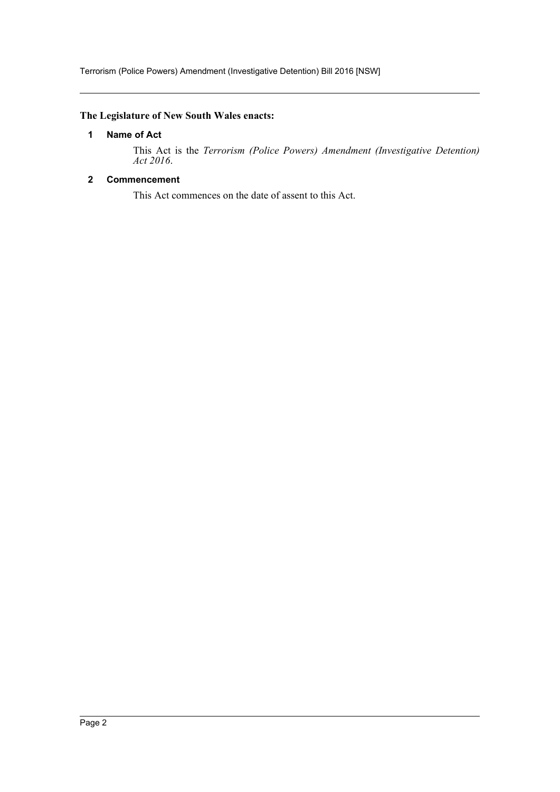# <span id="page-2-0"></span>**The Legislature of New South Wales enacts:**

# **1 Name of Act**

This Act is the *Terrorism (Police Powers) Amendment (Investigative Detention) Act 2016*.

# <span id="page-2-1"></span>**2 Commencement**

This Act commences on the date of assent to this Act.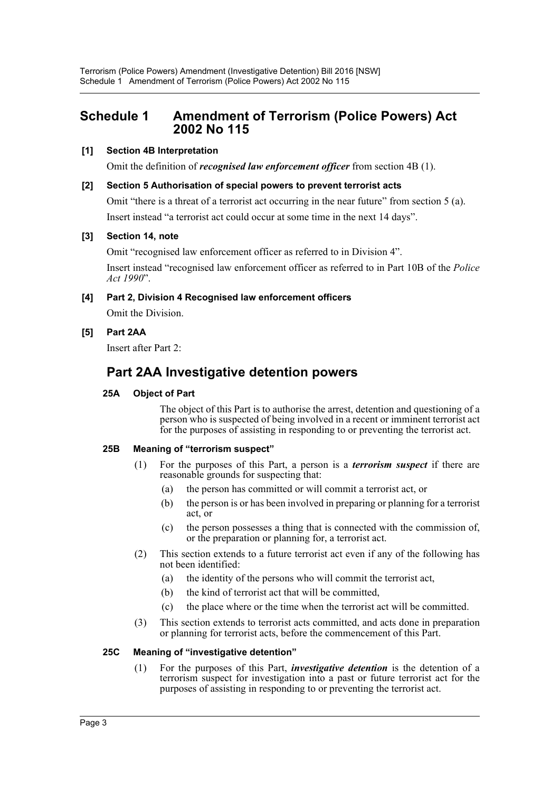# <span id="page-3-0"></span>**Schedule 1 Amendment of Terrorism (Police Powers) Act 2002 No 115**

## **[1] Section 4B Interpretation**

Omit the definition of *recognised law enforcement officer* from section 4B (1).

### **[2] Section 5 Authorisation of special powers to prevent terrorist acts**

Omit "there is a threat of a terrorist act occurring in the near future" from section 5 (a). Insert instead "a terrorist act could occur at some time in the next 14 days".

### **[3] Section 14, note**

Omit "recognised law enforcement officer as referred to in Division 4".

Insert instead "recognised law enforcement officer as referred to in Part 10B of the *Police Act 1990*".

# **[4] Part 2, Division 4 Recognised law enforcement officers**

Omit the Division.

## **[5] Part 2AA**

Insert after Part 2:

# **Part 2AA Investigative detention powers**

## **25A Object of Part**

The object of this Part is to authorise the arrest, detention and questioning of a person who is suspected of being involved in a recent or imminent terrorist act for the purposes of assisting in responding to or preventing the terrorist act.

#### **25B Meaning of "terrorism suspect"**

- (1) For the purposes of this Part, a person is a *terrorism suspect* if there are reasonable grounds for suspecting that:
	- (a) the person has committed or will commit a terrorist act, or
	- (b) the person is or has been involved in preparing or planning for a terrorist act, or
	- (c) the person possesses a thing that is connected with the commission of, or the preparation or planning for, a terrorist act.
- (2) This section extends to a future terrorist act even if any of the following has not been identified:
	- (a) the identity of the persons who will commit the terrorist act,
	- (b) the kind of terrorist act that will be committed,
	- (c) the place where or the time when the terrorist act will be committed.
- (3) This section extends to terrorist acts committed, and acts done in preparation or planning for terrorist acts, before the commencement of this Part.

#### **25C Meaning of "investigative detention"**

(1) For the purposes of this Part, *investigative detention* is the detention of a terrorism suspect for investigation into a past or future terrorist act for the purposes of assisting in responding to or preventing the terrorist act.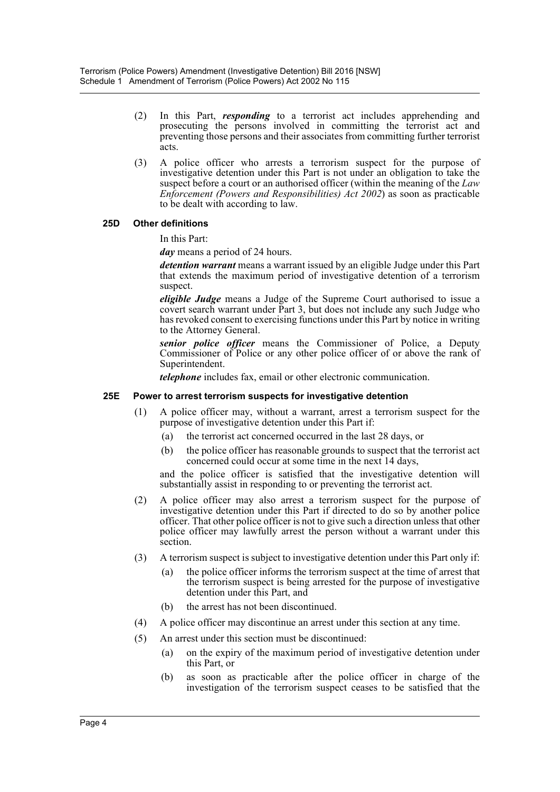- (2) In this Part, *responding* to a terrorist act includes apprehending and prosecuting the persons involved in committing the terrorist act and preventing those persons and their associates from committing further terrorist acts.
- (3) A police officer who arrests a terrorism suspect for the purpose of investigative detention under this Part is not under an obligation to take the suspect before a court or an authorised officer (within the meaning of the *Law Enforcement (Powers and Responsibilities) Act 2002*) as soon as practicable to be dealt with according to law.

#### **25D Other definitions**

In this Part:

*day* means a period of 24 hours.

*detention warrant* means a warrant issued by an eligible Judge under this Part that extends the maximum period of investigative detention of a terrorism suspect.

*eligible Judge* means a Judge of the Supreme Court authorised to issue a covert search warrant under Part 3, but does not include any such Judge who has revoked consent to exercising functions under this Part by notice in writing to the Attorney General.

*senior police officer* means the Commissioner of Police, a Deputy Commissioner of Police or any other police officer of or above the rank of Superintendent.

*telephone* includes fax, email or other electronic communication.

#### **25E Power to arrest terrorism suspects for investigative detention**

- (1) A police officer may, without a warrant, arrest a terrorism suspect for the purpose of investigative detention under this Part if:
	- (a) the terrorist act concerned occurred in the last 28 days, or
	- (b) the police officer has reasonable grounds to suspect that the terrorist act concerned could occur at some time in the next 14 days,

and the police officer is satisfied that the investigative detention will substantially assist in responding to or preventing the terrorist act.

- (2) A police officer may also arrest a terrorism suspect for the purpose of investigative detention under this Part if directed to do so by another police officer. That other police officer is not to give such a direction unless that other police officer may lawfully arrest the person without a warrant under this section.
- (3) A terrorism suspect is subject to investigative detention under this Part only if:
	- (a) the police officer informs the terrorism suspect at the time of arrest that the terrorism suspect is being arrested for the purpose of investigative detention under this Part, and
	- (b) the arrest has not been discontinued.
- (4) A police officer may discontinue an arrest under this section at any time.
- (5) An arrest under this section must be discontinued:
	- (a) on the expiry of the maximum period of investigative detention under this Part, or
	- (b) as soon as practicable after the police officer in charge of the investigation of the terrorism suspect ceases to be satisfied that the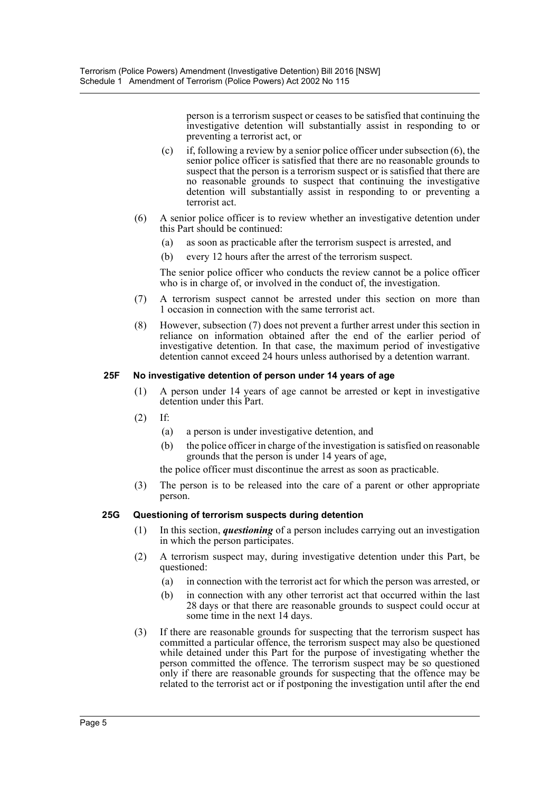person is a terrorism suspect or ceases to be satisfied that continuing the investigative detention will substantially assist in responding to or preventing a terrorist act, or

- (c) if, following a review by a senior police officer under subsection  $(6)$ , the senior police officer is satisfied that there are no reasonable grounds to suspect that the person is a terrorism suspect or is satisfied that there are no reasonable grounds to suspect that continuing the investigative detention will substantially assist in responding to or preventing a terrorist act.
- (6) A senior police officer is to review whether an investigative detention under this Part should be continued:
	- (a) as soon as practicable after the terrorism suspect is arrested, and
	- (b) every 12 hours after the arrest of the terrorism suspect.

The senior police officer who conducts the review cannot be a police officer who is in charge of, or involved in the conduct of, the investigation.

- (7) A terrorism suspect cannot be arrested under this section on more than 1 occasion in connection with the same terrorist act.
- (8) However, subsection (7) does not prevent a further arrest under this section in reliance on information obtained after the end of the earlier period of investigative detention. In that case, the maximum period of investigative detention cannot exceed 24 hours unless authorised by a detention warrant.

#### **25F No investigative detention of person under 14 years of age**

- (1) A person under 14 years of age cannot be arrested or kept in investigative detention under this Part.
- (2) If:
	- (a) a person is under investigative detention, and
	- (b) the police officer in charge of the investigation is satisfied on reasonable grounds that the person is under 14 years of age,

the police officer must discontinue the arrest as soon as practicable.

(3) The person is to be released into the care of a parent or other appropriate person.

#### **25G Questioning of terrorism suspects during detention**

- (1) In this section, *questioning* of a person includes carrying out an investigation in which the person participates.
- (2) A terrorism suspect may, during investigative detention under this Part, be questioned:
	- (a) in connection with the terrorist act for which the person was arrested, or
	- (b) in connection with any other terrorist act that occurred within the last 28 days or that there are reasonable grounds to suspect could occur at some time in the next 14 days.
- (3) If there are reasonable grounds for suspecting that the terrorism suspect has committed a particular offence, the terrorism suspect may also be questioned while detained under this Part for the purpose of investigating whether the person committed the offence. The terrorism suspect may be so questioned only if there are reasonable grounds for suspecting that the offence may be related to the terrorist act or if postponing the investigation until after the end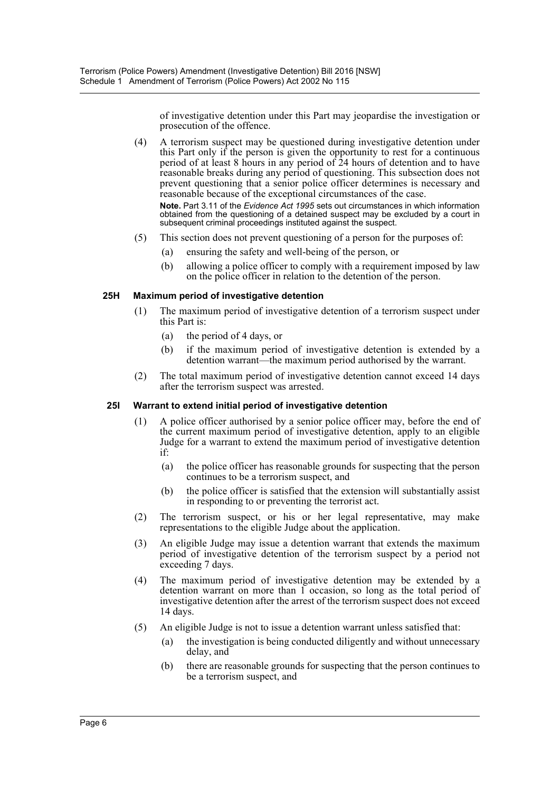of investigative detention under this Part may jeopardise the investigation or prosecution of the offence.

(4) A terrorism suspect may be questioned during investigative detention under this Part only if the person is given the opportunity to rest for a continuous period of at least 8 hours in any period of 24 hours of detention and to have reasonable breaks during any period of questioning. This subsection does not prevent questioning that a senior police officer determines is necessary and reasonable because of the exceptional circumstances of the case.

**Note.** Part 3.11 of the *Evidence Act 1995* sets out circumstances in which information obtained from the questioning of a detained suspect may be excluded by a court in subsequent criminal proceedings instituted against the suspect.

- (5) This section does not prevent questioning of a person for the purposes of:
	- (a) ensuring the safety and well-being of the person, or
	- (b) allowing a police officer to comply with a requirement imposed by law on the police officer in relation to the detention of the person.

#### **25H Maximum period of investigative detention**

- (1) The maximum period of investigative detention of a terrorism suspect under this Part is:
	- (a) the period of 4 days, or
	- (b) if the maximum period of investigative detention is extended by a detention warrant—the maximum period authorised by the warrant.
- (2) The total maximum period of investigative detention cannot exceed 14 days after the terrorism suspect was arrested.

#### **25I Warrant to extend initial period of investigative detention**

- (1) A police officer authorised by a senior police officer may, before the end of the current maximum period of investigative detention, apply to an eligible Judge for a warrant to extend the maximum period of investigative detention if:
	- (a) the police officer has reasonable grounds for suspecting that the person continues to be a terrorism suspect, and
	- (b) the police officer is satisfied that the extension will substantially assist in responding to or preventing the terrorist act.
- (2) The terrorism suspect, or his or her legal representative, may make representations to the eligible Judge about the application.
- (3) An eligible Judge may issue a detention warrant that extends the maximum period of investigative detention of the terrorism suspect by a period not exceeding 7 days.
- (4) The maximum period of investigative detention may be extended by a detention warrant on more than 1 occasion, so long as the total period of investigative detention after the arrest of the terrorism suspect does not exceed 14 days.
- (5) An eligible Judge is not to issue a detention warrant unless satisfied that:
	- (a) the investigation is being conducted diligently and without unnecessary delay, and
	- (b) there are reasonable grounds for suspecting that the person continues to be a terrorism suspect, and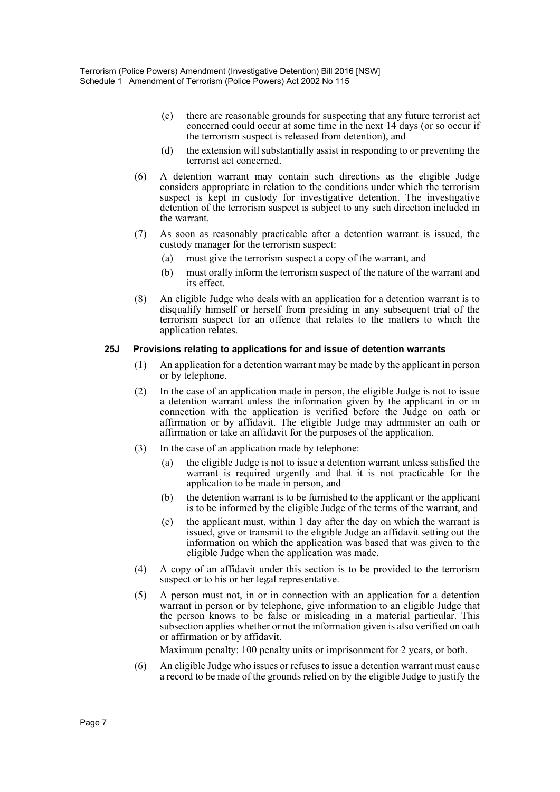- (c) there are reasonable grounds for suspecting that any future terrorist act concerned could occur at some time in the next 14 days (or so occur if the terrorism suspect is released from detention), and
- (d) the extension will substantially assist in responding to or preventing the terrorist act concerned.
- (6) A detention warrant may contain such directions as the eligible Judge considers appropriate in relation to the conditions under which the terrorism suspect is kept in custody for investigative detention. The investigative detention of the terrorism suspect is subject to any such direction included in the warrant.
- (7) As soon as reasonably practicable after a detention warrant is issued, the custody manager for the terrorism suspect:
	- (a) must give the terrorism suspect a copy of the warrant, and
	- (b) must orally inform the terrorism suspect of the nature of the warrant and its effect.
- (8) An eligible Judge who deals with an application for a detention warrant is to disqualify himself or herself from presiding in any subsequent trial of the terrorism suspect for an offence that relates to the matters to which the application relates.

#### **25J Provisions relating to applications for and issue of detention warrants**

- (1) An application for a detention warrant may be made by the applicant in person or by telephone.
- (2) In the case of an application made in person, the eligible Judge is not to issue a detention warrant unless the information given by the applicant in or in connection with the application is verified before the Judge on oath or affirmation or by affidavit. The eligible Judge may administer an oath or affirmation or take an affidavit for the purposes of the application.
- (3) In the case of an application made by telephone:
	- (a) the eligible Judge is not to issue a detention warrant unless satisfied the warrant is required urgently and that it is not practicable for the application to be made in person, and
	- (b) the detention warrant is to be furnished to the applicant or the applicant is to be informed by the eligible Judge of the terms of the warrant, and
	- (c) the applicant must, within 1 day after the day on which the warrant is issued, give or transmit to the eligible Judge an affidavit setting out the information on which the application was based that was given to the eligible Judge when the application was made.
- (4) A copy of an affidavit under this section is to be provided to the terrorism suspect or to his or her legal representative.
- (5) A person must not, in or in connection with an application for a detention warrant in person or by telephone, give information to an eligible Judge that the person knows to be false or misleading in a material particular. This subsection applies whether or not the information given is also verified on oath or affirmation or by affidavit.

Maximum penalty: 100 penalty units or imprisonment for 2 years, or both.

(6) An eligible Judge who issues or refuses to issue a detention warrant must cause a record to be made of the grounds relied on by the eligible Judge to justify the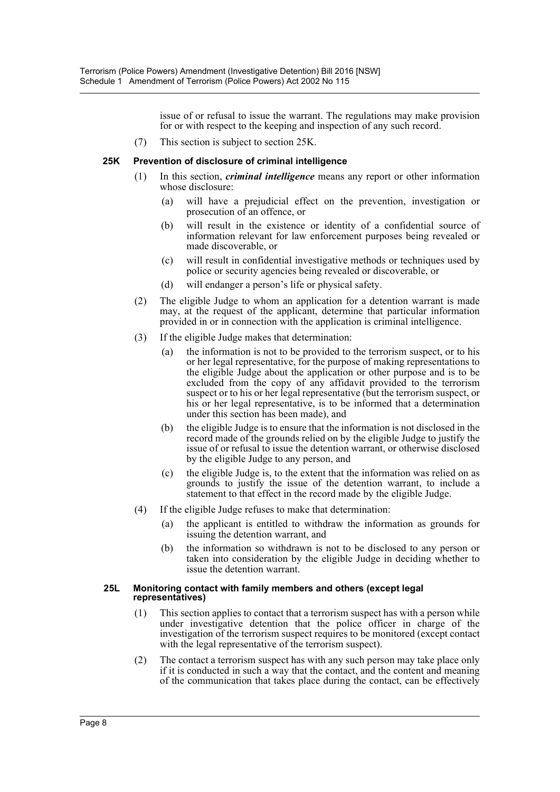issue of or refusal to issue the warrant. The regulations may make provision for or with respect to the keeping and inspection of any such record.

(7) This section is subject to section 25K.

#### **25K Prevention of disclosure of criminal intelligence**

- (1) In this section, *criminal intelligence* means any report or other information whose disclosure:
	- (a) will have a prejudicial effect on the prevention, investigation or prosecution of an offence, or
	- (b) will result in the existence or identity of a confidential source of information relevant for law enforcement purposes being revealed or made discoverable, or
	- (c) will result in confidential investigative methods or techniques used by police or security agencies being revealed or discoverable, or
	- (d) will endanger a person's life or physical safety.
- (2) The eligible Judge to whom an application for a detention warrant is made may, at the request of the applicant, determine that particular information provided in or in connection with the application is criminal intelligence.
- (3) If the eligible Judge makes that determination:
	- (a) the information is not to be provided to the terrorism suspect, or to his or her legal representative, for the purpose of making representations to the eligible Judge about the application or other purpose and is to be excluded from the copy of any affidavit provided to the terrorism suspect or to his or her legal representative (but the terrorism suspect, or his or her legal representative, is to be informed that a determination under this section has been made), and
	- (b) the eligible Judge is to ensure that the information is not disclosed in the record made of the grounds relied on by the eligible Judge to justify the issue of or refusal to issue the detention warrant, or otherwise disclosed by the eligible Judge to any person, and
	- (c) the eligible Judge is, to the extent that the information was relied on as grounds to justify the issue of the detention warrant, to include a statement to that effect in the record made by the eligible Judge.
- (4) If the eligible Judge refuses to make that determination:
	- (a) the applicant is entitled to withdraw the information as grounds for issuing the detention warrant, and
	- (b) the information so withdrawn is not to be disclosed to any person or taken into consideration by the eligible Judge in deciding whether to issue the detention warrant.

#### **25L Monitoring contact with family members and others (except legal representatives)**

- (1) This section applies to contact that a terrorism suspect has with a person while under investigative detention that the police officer in charge of the investigation of the terrorism suspect requires to be monitored (except contact with the legal representative of the terrorism suspect).
- (2) The contact a terrorism suspect has with any such person may take place only if it is conducted in such a way that the contact, and the content and meaning of the communication that takes place during the contact, can be effectively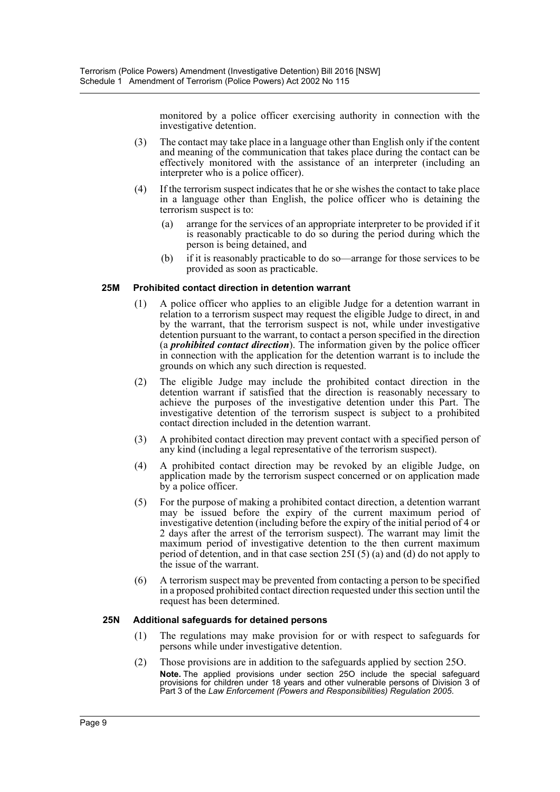monitored by a police officer exercising authority in connection with the investigative detention.

- (3) The contact may take place in a language other than English only if the content and meaning of the communication that takes place during the contact can be effectively monitored with the assistance of an interpreter (including an interpreter who is a police officer).
- (4) If the terrorism suspect indicates that he or she wishes the contact to take place in a language other than English, the police officer who is detaining the terrorism suspect is to:
	- (a) arrange for the services of an appropriate interpreter to be provided if it is reasonably practicable to do so during the period during which the person is being detained, and
	- (b) if it is reasonably practicable to do so—arrange for those services to be provided as soon as practicable.

#### **25M Prohibited contact direction in detention warrant**

- (1) A police officer who applies to an eligible Judge for a detention warrant in relation to a terrorism suspect may request the eligible Judge to direct, in and by the warrant, that the terrorism suspect is not, while under investigative detention pursuant to the warrant, to contact a person specified in the direction (a *prohibited contact direction*). The information given by the police officer in connection with the application for the detention warrant is to include the grounds on which any such direction is requested.
- (2) The eligible Judge may include the prohibited contact direction in the detention warrant if satisfied that the direction is reasonably necessary to achieve the purposes of the investigative detention under this Part. The investigative detention of the terrorism suspect is subject to a prohibited contact direction included in the detention warrant.
- (3) A prohibited contact direction may prevent contact with a specified person of any kind (including a legal representative of the terrorism suspect).
- (4) A prohibited contact direction may be revoked by an eligible Judge, on application made by the terrorism suspect concerned or on application made by a police officer.
- (5) For the purpose of making a prohibited contact direction, a detention warrant may be issued before the expiry of the current maximum period of investigative detention (including before the expiry of the initial period of 4 or 2 days after the arrest of the terrorism suspect). The warrant may limit the maximum period of investigative detention to the then current maximum period of detention, and in that case section 25I (5) (a) and (d) do not apply to the issue of the warrant.
- (6) A terrorism suspect may be prevented from contacting a person to be specified in a proposed prohibited contact direction requested under this section until the request has been determined.

#### **25N Additional safeguards for detained persons**

- (1) The regulations may make provision for or with respect to safeguards for persons while under investigative detention.
- (2) Those provisions are in addition to the safeguards applied by section 25O. **Note.** The applied provisions under section 25O include the special safeguard provisions for children under 18 years and other vulnerable persons of Division 3 of Part 3 of the *Law Enforcement (Powers and Responsibilities) Regulation 2005*.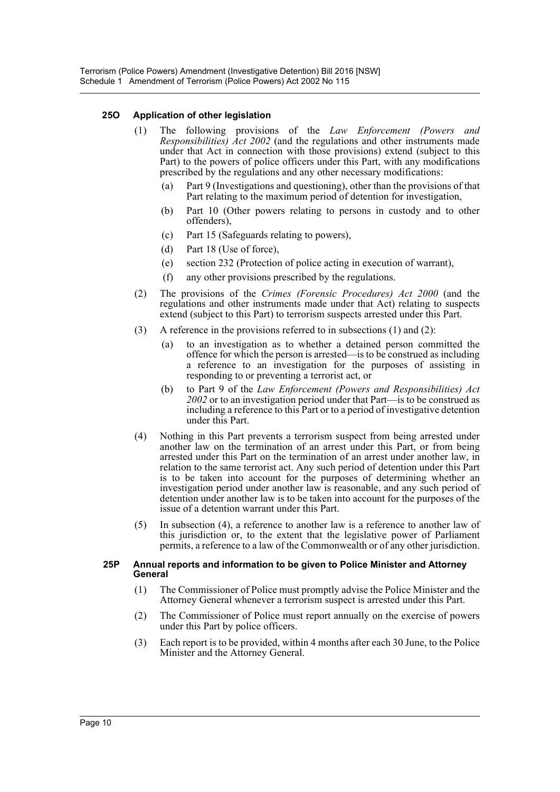#### **25O Application of other legislation**

- (1) The following provisions of the *Law Enforcement (Powers and Responsibilities) Act 2002* (and the regulations and other instruments made under that Act in connection with those provisions) extend (subject to this Part) to the powers of police officers under this Part, with any modifications prescribed by the regulations and any other necessary modifications:
	- (a) Part 9 (Investigations and questioning), other than the provisions of that Part relating to the maximum period of detention for investigation,
	- (b) Part 10 (Other powers relating to persons in custody and to other offenders),
	- (c) Part 15 (Safeguards relating to powers),
	- (d) Part 18 (Use of force),
	- (e) section 232 (Protection of police acting in execution of warrant),
	- (f) any other provisions prescribed by the regulations.
- (2) The provisions of the *Crimes (Forensic Procedures) Act 2000* (and the regulations and other instruments made under that Act) relating to suspects extend (subject to this Part) to terrorism suspects arrested under this Part.
- (3) A reference in the provisions referred to in subsections (1) and (2):
	- (a) to an investigation as to whether a detained person committed the offence for which the person is arrested—is to be construed as including a reference to an investigation for the purposes of assisting in responding to or preventing a terrorist act, or
	- (b) to Part 9 of the *Law Enforcement (Powers and Responsibilities) Act 2002* or to an investigation period under that Part—is to be construed as including a reference to this Part or to a period of investigative detention under this Part.
- (4) Nothing in this Part prevents a terrorism suspect from being arrested under another law on the termination of an arrest under this Part, or from being arrested under this Part on the termination of an arrest under another law, in relation to the same terrorist act. Any such period of detention under this Part is to be taken into account for the purposes of determining whether an investigation period under another law is reasonable, and any such period of detention under another law is to be taken into account for the purposes of the issue of a detention warrant under this Part.
- (5) In subsection (4), a reference to another law is a reference to another law of this jurisdiction or, to the extent that the legislative power of Parliament permits, a reference to a law of the Commonwealth or of any other jurisdiction.

#### **25P Annual reports and information to be given to Police Minister and Attorney General**

- (1) The Commissioner of Police must promptly advise the Police Minister and the Attorney General whenever a terrorism suspect is arrested under this Part.
- (2) The Commissioner of Police must report annually on the exercise of powers under this Part by police officers.
- (3) Each report is to be provided, within 4 months after each 30 June, to the Police Minister and the Attorney General.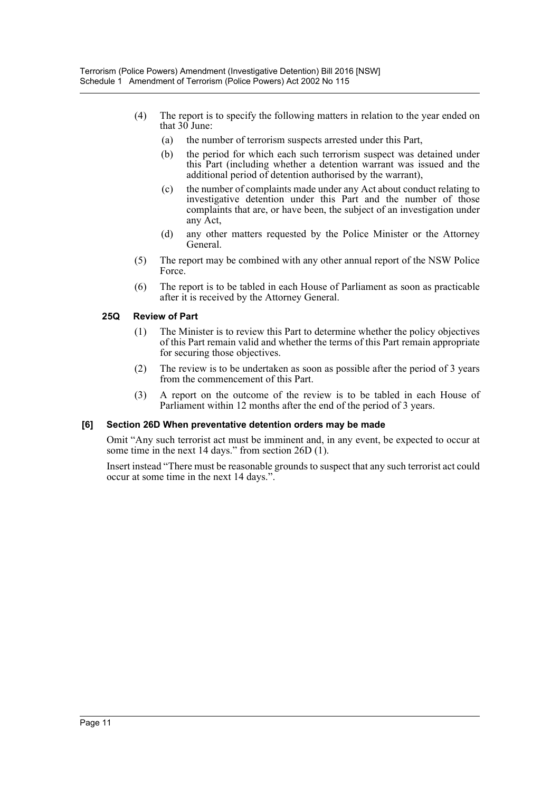- (4) The report is to specify the following matters in relation to the year ended on that 30 June:
	- (a) the number of terrorism suspects arrested under this Part,
	- (b) the period for which each such terrorism suspect was detained under this Part (including whether a detention warrant was issued and the additional period of detention authorised by the warrant),
	- (c) the number of complaints made under any Act about conduct relating to investigative detention under this Part and the number of those complaints that are, or have been, the subject of an investigation under any Act,
	- (d) any other matters requested by the Police Minister or the Attorney General.
- (5) The report may be combined with any other annual report of the NSW Police Force.
- (6) The report is to be tabled in each House of Parliament as soon as practicable after it is received by the Attorney General.

### **25Q Review of Part**

- (1) The Minister is to review this Part to determine whether the policy objectives of this Part remain valid and whether the terms of this Part remain appropriate for securing those objectives.
- (2) The review is to be undertaken as soon as possible after the period of 3 years from the commencement of this Part.
- (3) A report on the outcome of the review is to be tabled in each House of Parliament within 12 months after the end of the period of 3 years.

#### **[6] Section 26D When preventative detention orders may be made**

Omit "Any such terrorist act must be imminent and, in any event, be expected to occur at some time in the next 14 days." from section 26D (1).

Insert instead "There must be reasonable grounds to suspect that any such terrorist act could occur at some time in the next 14 days.".